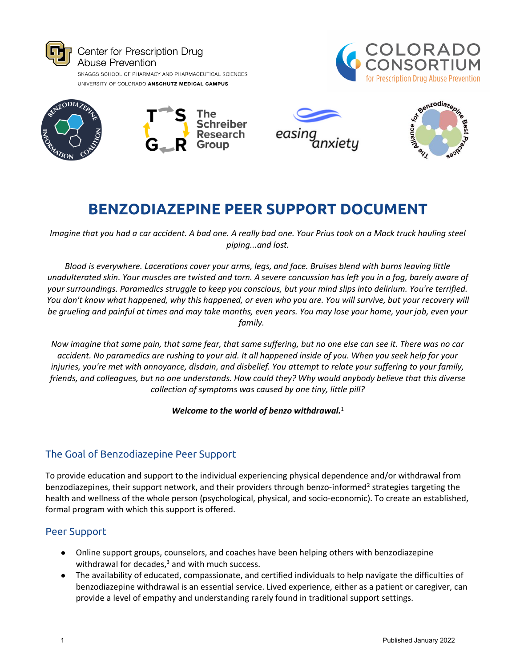









# **BENZODIAZEPINE PEER SUPPORT DOCUMENT**

*Imagine that you had a car accident. A bad one. A really bad one. Your Prius took on a Mack truck hauling steel piping...and lost.*

*Blood is everywhere. Lacerations cover your arms, legs, and face. Bruises blend with burns leaving little unadulterated skin. Your muscles are twisted and torn. A severe concussion has left you in a fog, barely aware of your surroundings. Paramedics struggle to keep you conscious, but your mind slips into delirium. You're terrified. You don't know what happened, why this happened, or even who you are. You will survive, but your recovery will be grueling and painful at times and may take months, even years. You may lose your home, your job, even your family.* 

*Now imagine that same pain, that same fear, that same suffering, but no one else can see it. There was no car accident. No paramedics are rushing to your aid. It all happened inside of you. When you seek help for your injuries, you're met with annoyance, disdain, and disbelief. You attempt to relate your suffering to your family, friends, and colleagues, but no one understands. How could they? Why would anybody believe that this diverse collection of symptoms was caused by one tiny, little pill?*

*Welcome to the world of benzo withdrawal.*<sup>1</sup>

## The Goal of Benzodiazepine Peer Support

To provide education and support to the individual experiencing physical dependence and/or withdrawal from benzodiazepines, their support network, and their providers through benzo-informed<sup>2</sup> strategies targeting the health and wellness of the whole person (psychological, physical, and socio-economic). To create an established, formal program with which this support is offered.

### Peer Support

- Online support groups, counselors, and coaches have been helping others with benzodiazepine withdrawal for decades, $3$  and with much success.
- The availability of educated, compassionate, and certified individuals to help navigate the difficulties of benzodiazepine withdrawal is an essential service. Lived experience, either as a patient or caregiver, can provide a level of empathy and understanding rarely found in traditional support settings.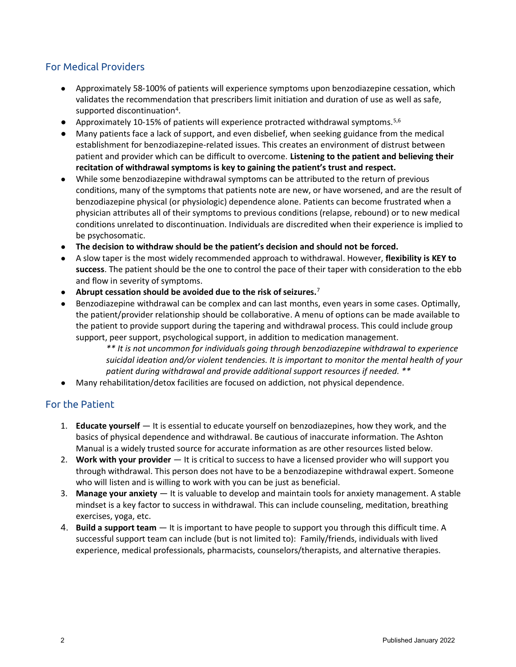## For Medical Providers

- Approximately 58-100% of patients will experience symptoms upon benzodiazepine cessation, which validates the recommendation that prescribers limit initiation and duration of use as well as safe, supported discontinuation<sup>4</sup>.
- Approximately 10-15% of patients will experience protracted withdrawal symptoms.  $5,6$
- Many patients face a lack of support, and even disbelief, when seeking guidance from the medical establishment for benzodiazepine-related issues. This creates an environment of distrust between patient and provider which can be difficult to overcome. **Listening to the patient and believing their recitation of withdrawal symptoms is key to gaining the patient's trust and respect.**
- While some benzodiazepine withdrawal symptoms can be attributed to the return of previous conditions, many of the symptoms that patients note are new, or have worsened, and are the result of benzodiazepine physical (or physiologic) dependence alone. Patients can become frustrated when a physician attributes all of their symptoms to previous conditions (relapse, rebound) or to new medical conditions unrelated to discontinuation. Individuals are discredited when their experience is implied to be psychosomatic.
- **The decision to withdraw should be the patient's decision and should not be forced.**
- A slow taper is the most widely recommended approach to withdrawal. However, **flexibility is KEY to success**. The patient should be the one to control the pace of their taper with consideration to the ebb and flow in severity of symptoms.
- **Abrupt cessation should be avoided due to the risk of seizures.**<sup>7</sup>
- Benzodiazepine withdrawal can be complex and can last months, even years in some cases. Optimally, the patient/provider relationship should be collaborative. A menu of options can be made available to the patient to provide support during the tapering and withdrawal process. This could include group support, peer support, psychological support, in addition to medication management.

*\*\* It is not uncommon for individuals going through benzodiazepine withdrawal to experience suicidal ideation and/or violent tendencies. It is important to monitor the mental health of your patient during withdrawal and provide additional support resources if needed. \*\**

● Many rehabilitation/detox facilities are focused on addiction, not physical dependence.

#### For the Patient

- 1. **Educate yourself**  It is essential to educate yourself on benzodiazepines, how they work, and the basics of physical dependence and withdrawal. Be cautious of inaccurate information. The Ashton Manual is a widely trusted source for accurate information as are other resources listed below.
- 2. **Work with your provider**  It is critical to success to have a licensed provider who will support you through withdrawal. This person does not have to be a benzodiazepine withdrawal expert. Someone who will listen and is willing to work with you can be just as beneficial.
- 3. **Manage your anxiety** It is valuable to develop and maintain tools for anxiety management. A stable mindset is a key factor to success in withdrawal. This can include counseling, meditation, breathing exercises, yoga, etc.
- 4. **Build a support team** It is important to have people to support you through this difficult time. A successful support team can include (but is not limited to): Family/friends, individuals with lived experience, medical professionals, pharmacists, counselors/therapists, and alternative therapies.